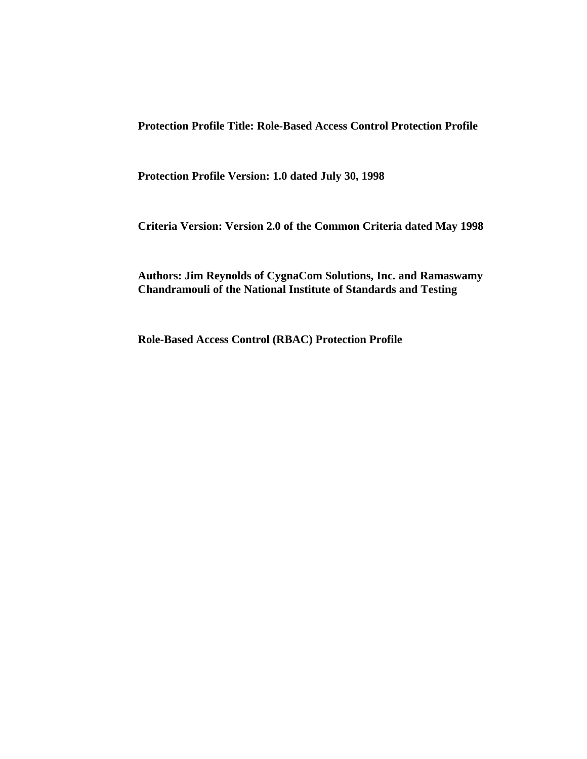**Protection Profile Title: Role-Based Access Control Protection Profile**

**Protection Profile Version: 1.0 dated July 30, 1998**

**Criteria Version: Version 2.0 of the Common Criteria dated May 1998**

**Authors: Jim Reynolds of CygnaCom Solutions, Inc. and Ramaswamy Chandramouli of the National Institute of Standards and Testing**

**Role-Based Access Control (RBAC) Protection Profile**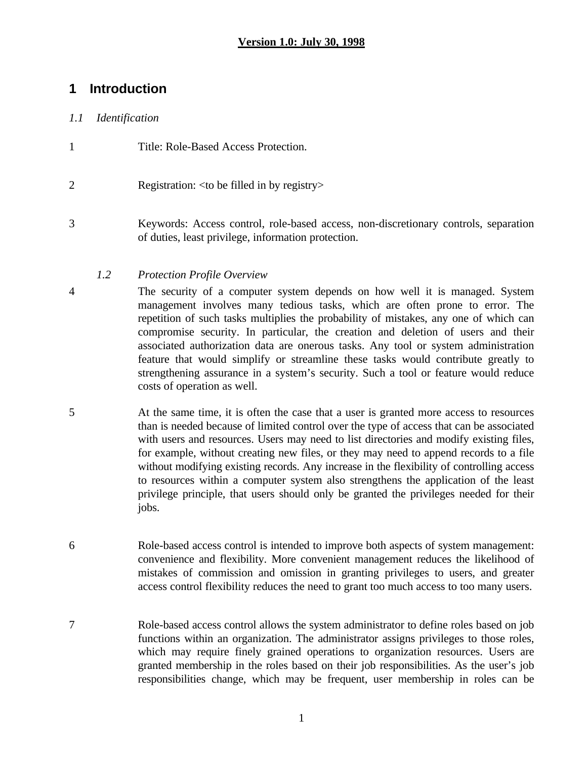# **1 Introduction**

### *1.1 Identification*

- 1 Title: Role-Based Access Protection.
- 2 Registration: <to be filled in by registry>
- 3 Keywords: Access control, role-based access, non-discretionary controls, separation of duties, least privilege, information protection.

### *1.2 Protection Profile Overview*

- 4 The security of a computer system depends on how well it is managed. System management involves many tedious tasks, which are often prone to error. The repetition of such tasks multiplies the probability of mistakes, any one of which can compromise security. In particular, the creation and deletion of users and their associated authorization data are onerous tasks. Any tool or system administration feature that would simplify or streamline these tasks would contribute greatly to strengthening assurance in a system's security. Such a tool or feature would reduce costs of operation as well.
- 5 At the same time, it is often the case that a user is granted more access to resources than is needed because of limited control over the type of access that can be associated with users and resources. Users may need to list directories and modify existing files, for example, without creating new files, or they may need to append records to a file without modifying existing records. Any increase in the flexibility of controlling access to resources within a computer system also strengthens the application of the least privilege principle, that users should only be granted the privileges needed for their jobs.
- 6 Role-based access control is intended to improve both aspects of system management: convenience and flexibility. More convenient management reduces the likelihood of mistakes of commission and omission in granting privileges to users, and greater access control flexibility reduces the need to grant too much access to too many users.
- 7 Role-based access control allows the system administrator to define roles based on job functions within an organization. The administrator assigns privileges to those roles, which may require finely grained operations to organization resources. Users are granted membership in the roles based on their job responsibilities. As the user's job responsibilities change, which may be frequent, user membership in roles can be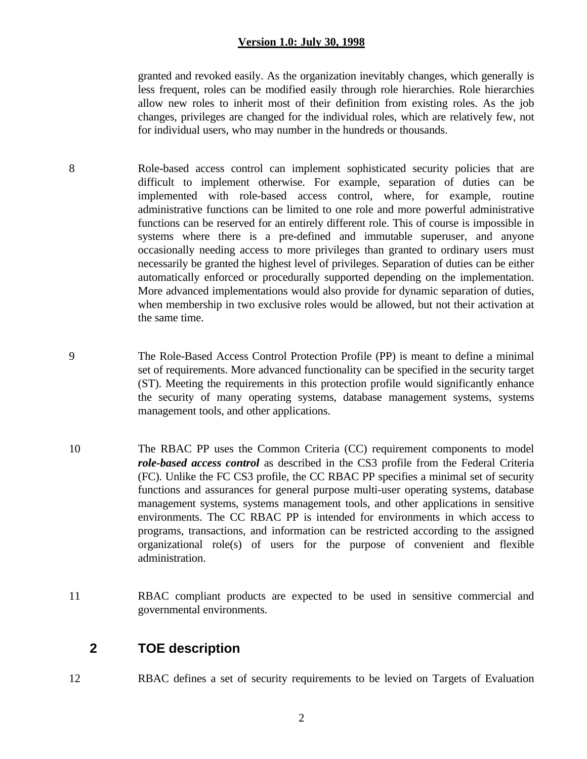granted and revoked easily. As the organization inevitably changes, which generally is less frequent, roles can be modified easily through role hierarchies. Role hierarchies allow new roles to inherit most of their definition from existing roles. As the job changes, privileges are changed for the individual roles, which are relatively few, not for individual users, who may number in the hundreds or thousands.

- 8 Role-based access control can implement sophisticated security policies that are difficult to implement otherwise. For example, separation of duties can be implemented with role-based access control, where, for example, routine administrative functions can be limited to one role and more powerful administrative functions can be reserved for an entirely different role. This of course is impossible in systems where there is a pre-defined and immutable superuser, and anyone occasionally needing access to more privileges than granted to ordinary users must necessarily be granted the highest level of privileges. Separation of duties can be either automatically enforced or procedurally supported depending on the implementation. More advanced implementations would also provide for dynamic separation of duties, when membership in two exclusive roles would be allowed, but not their activation at the same time.
- 9 The Role-Based Access Control Protection Profile (PP) is meant to define a minimal set of requirements. More advanced functionality can be specified in the security target (ST). Meeting the requirements in this protection profile would significantly enhance the security of many operating systems, database management systems, systems management tools, and other applications.
- 10 The RBAC PP uses the Common Criteria (CC) requirement components to model *role-based access control* as described in the CS3 profile from the Federal Criteria (FC). Unlike the FC CS3 profile, the CC RBAC PP specifies a minimal set of security functions and assurances for general purpose multi-user operating systems, database management systems, systems management tools, and other applications in sensitive environments. The CC RBAC PP is intended for environments in which access to programs, transactions, and information can be restricted according to the assigned organizational role(s) of users for the purpose of convenient and flexible administration.
- 11 RBAC compliant products are expected to be used in sensitive commercial and governmental environments.

## **2 TOE description**

12 RBAC defines a set of security requirements to be levied on Targets of Evaluation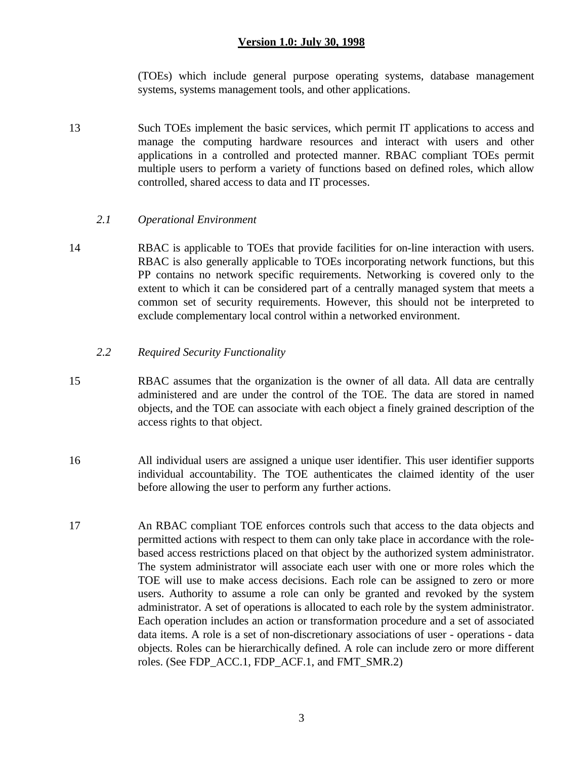(TOEs) which include general purpose operating systems, database management systems, systems management tools, and other applications.

13 Such TOEs implement the basic services, which permit IT applications to access and manage the computing hardware resources and interact with users and other applications in a controlled and protected manner. RBAC compliant TOEs permit multiple users to perform a variety of functions based on defined roles, which allow controlled, shared access to data and IT processes.

#### *2.1 Operational Environment*

14 RBAC is applicable to TOEs that provide facilities for on-line interaction with users. RBAC is also generally applicable to TOEs incorporating network functions, but this PP contains no network specific requirements. Networking is covered only to the extent to which it can be considered part of a centrally managed system that meets a common set of security requirements. However, this should not be interpreted to exclude complementary local control within a networked environment.

#### *2.2 Required Security Functionality*

- 15 RBAC assumes that the organization is the owner of all data. All data are centrally administered and are under the control of the TOE. The data are stored in named objects, and the TOE can associate with each object a finely grained description of the access rights to that object.
- 16 All individual users are assigned a unique user identifier. This user identifier supports individual accountability. The TOE authenticates the claimed identity of the user before allowing the user to perform any further actions.
- 17 An RBAC compliant TOE enforces controls such that access to the data objects and permitted actions with respect to them can only take place in accordance with the rolebased access restrictions placed on that object by the authorized system administrator. The system administrator will associate each user with one or more roles which the TOE will use to make access decisions. Each role can be assigned to zero or more users. Authority to assume a role can only be granted and revoked by the system administrator. A set of operations is allocated to each role by the system administrator. Each operation includes an action or transformation procedure and a set of associated data items. A role is a set of non-discretionary associations of user - operations - data objects. Roles can be hierarchically defined. A role can include zero or more different roles. (See FDP\_ACC.1, FDP\_ACF.1, and FMT\_SMR.2)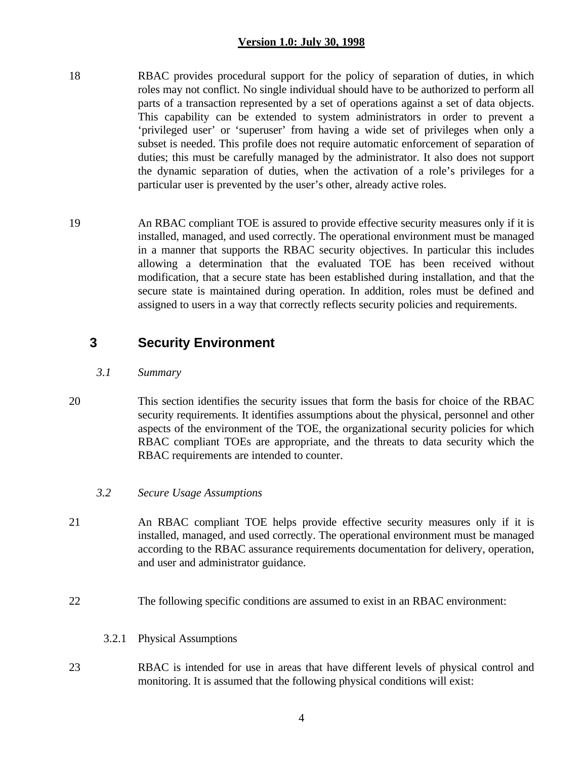- 18 RBAC provides procedural support for the policy of separation of duties, in which roles may not conflict. No single individual should have to be authorized to perform all parts of a transaction represented by a set of operations against a set of data objects. This capability can be extended to system administrators in order to prevent a 'privileged user' or 'superuser' from having a wide set of privileges when only a subset is needed. This profile does not require automatic enforcement of separation of duties; this must be carefully managed by the administrator. It also does not support the dynamic separation of duties, when the activation of a role's privileges for a particular user is prevented by the user's other, already active roles.
- 19 An RBAC compliant TOE is assured to provide effective security measures only if it is installed, managed, and used correctly. The operational environment must be managed in a manner that supports the RBAC security objectives. In particular this includes allowing a determination that the evaluated TOE has been received without modification, that a secure state has been established during installation, and that the secure state is maintained during operation. In addition, roles must be defined and assigned to users in a way that correctly reflects security policies and requirements.

## **3 Security Environment**

- *3.1 Summary*
- 20 This section identifies the security issues that form the basis for choice of the RBAC security requirements. It identifies assumptions about the physical, personnel and other aspects of the environment of the TOE, the organizational security policies for which RBAC compliant TOEs are appropriate, and the threats to data security which the RBAC requirements are intended to counter.

#### *3.2 Secure Usage Assumptions*

- 21 An RBAC compliant TOE helps provide effective security measures only if it is installed, managed, and used correctly. The operational environment must be managed according to the RBAC assurance requirements documentation for delivery, operation, and user and administrator guidance.
- 22 The following specific conditions are assumed to exist in an RBAC environment:
	- 3.2.1 Physical Assumptions
- 23 RBAC is intended for use in areas that have different levels of physical control and monitoring. It is assumed that the following physical conditions will exist: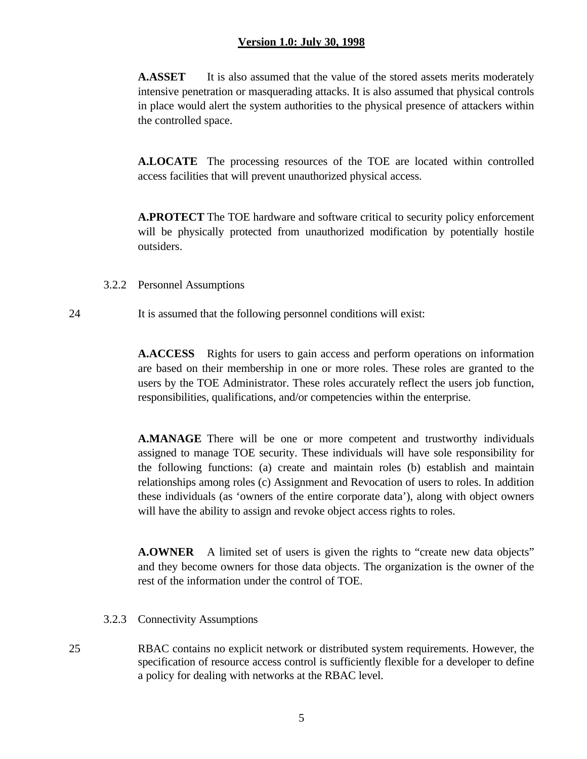**A.ASSET** It is also assumed that the value of the stored assets merits moderately intensive penetration or masquerading attacks. It is also assumed that physical controls in place would alert the system authorities to the physical presence of attackers within the controlled space.

**A.LOCATE** The processing resources of the TOE are located within controlled access facilities that will prevent unauthorized physical access.

**A.PROTECT** The TOE hardware and software critical to security policy enforcement will be physically protected from unauthorized modification by potentially hostile outsiders.

- 3.2.2 Personnel Assumptions
- 24 It is assumed that the following personnel conditions will exist:

**A.ACCESS** Rights for users to gain access and perform operations on information are based on their membership in one or more roles. These roles are granted to the users by the TOE Administrator. These roles accurately reflect the users job function, responsibilities, qualifications, and/or competencies within the enterprise.

**A.MANAGE** There will be one or more competent and trustworthy individuals assigned to manage TOE security. These individuals will have sole responsibility for the following functions: (a) create and maintain roles (b) establish and maintain relationships among roles (c) Assignment and Revocation of users to roles. In addition these individuals (as 'owners of the entire corporate data'), along with object owners will have the ability to assign and revoke object access rights to roles.

**A.OWNER** A limited set of users is given the rights to "create new data objects" and they become owners for those data objects. The organization is the owner of the rest of the information under the control of TOE.

- 3.2.3 Connectivity Assumptions
- 25 RBAC contains no explicit network or distributed system requirements. However, the specification of resource access control is sufficiently flexible for a developer to define a policy for dealing with networks at the RBAC level.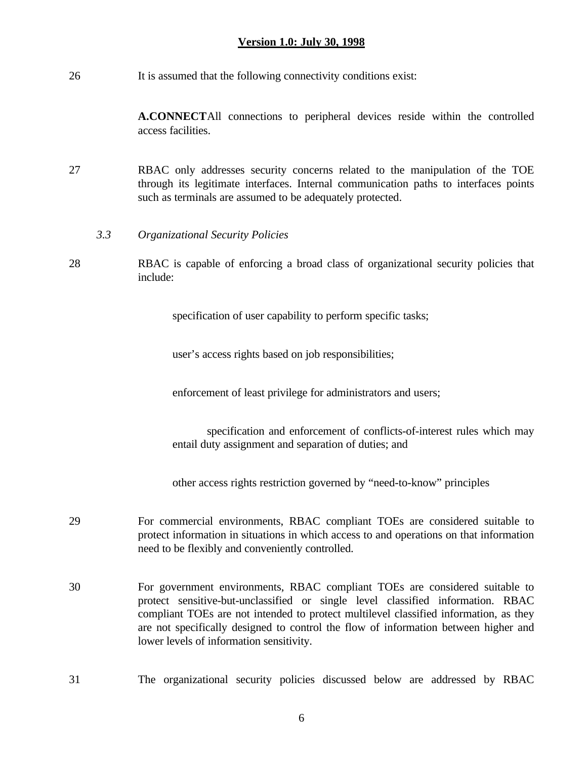26 It is assumed that the following connectivity conditions exist:

**A.CONNECT**All connections to peripheral devices reside within the controlled access facilities.

- 27 RBAC only addresses security concerns related to the manipulation of the TOE through its legitimate interfaces. Internal communication paths to interfaces points such as terminals are assumed to be adequately protected.
	- *3.3 Organizational Security Policies*
- 28 RBAC is capable of enforcing a broad class of organizational security policies that include:

specification of user capability to perform specific tasks;

user's access rights based on job responsibilities;

enforcement of least privilege for administrators and users;

specification and enforcement of conflicts-of-interest rules which may entail duty assignment and separation of duties; and

other access rights restriction governed by "need-to-know" principles

- 29 For commercial environments, RBAC compliant TOEs are considered suitable to protect information in situations in which access to and operations on that information need to be flexibly and conveniently controlled.
- 30 For government environments, RBAC compliant TOEs are considered suitable to protect sensitive-but-unclassified or single level classified information. RBAC compliant TOEs are not intended to protect multilevel classified information, as they are not specifically designed to control the flow of information between higher and lower levels of information sensitivity.
- 31 The organizational security policies discussed below are addressed by RBAC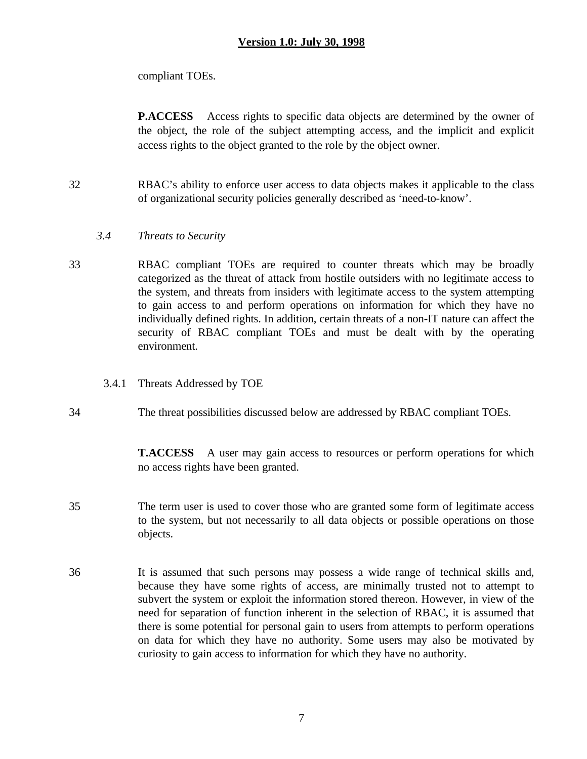compliant TOEs.

**P.ACCESS** Access rights to specific data objects are determined by the owner of the object, the role of the subject attempting access, and the implicit and explicit access rights to the object granted to the role by the object owner.

- 32 RBAC's ability to enforce user access to data objects makes it applicable to the class of organizational security policies generally described as 'need-to-know'.
	- *3.4 Threats to Security*
- 33 RBAC compliant TOEs are required to counter threats which may be broadly categorized as the threat of attack from hostile outsiders with no legitimate access to the system, and threats from insiders with legitimate access to the system attempting to gain access to and perform operations on information for which they have no individually defined rights. In addition, certain threats of a non-IT nature can affect the security of RBAC compliant TOEs and must be dealt with by the operating environment.
	- 3.4.1 Threats Addressed by TOE
- 34 The threat possibilities discussed below are addressed by RBAC compliant TOEs.

**T.ACCESS** A user may gain access to resources or perform operations for which no access rights have been granted.

- 35 The term user is used to cover those who are granted some form of legitimate access to the system, but not necessarily to all data objects or possible operations on those objects.
- 36 It is assumed that such persons may possess a wide range of technical skills and, because they have some rights of access, are minimally trusted not to attempt to subvert the system or exploit the information stored thereon. However, in view of the need for separation of function inherent in the selection of RBAC, it is assumed that there is some potential for personal gain to users from attempts to perform operations on data for which they have no authority. Some users may also be motivated by curiosity to gain access to information for which they have no authority.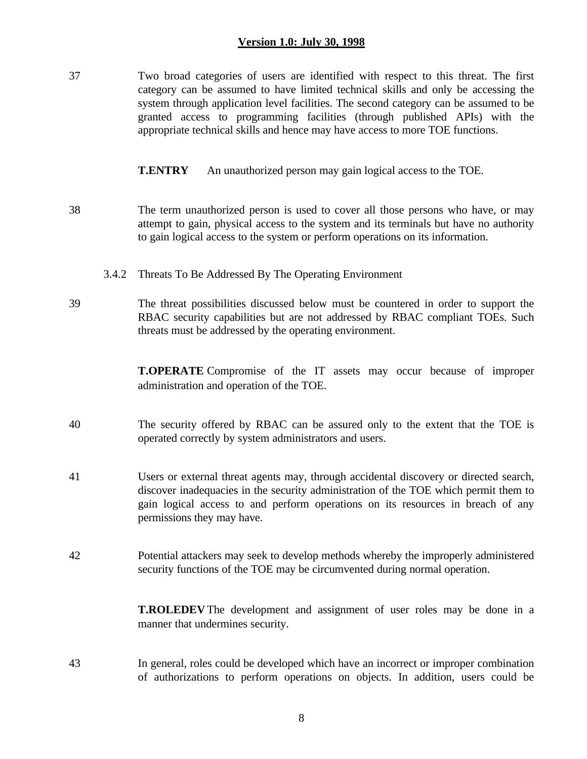37 Two broad categories of users are identified with respect to this threat. The first category can be assumed to have limited technical skills and only be accessing the system through application level facilities. The second category can be assumed to be granted access to programming facilities (through published APIs) with the appropriate technical skills and hence may have access to more TOE functions.

**T.ENTRY** An unauthorized person may gain logical access to the TOE.

- 38 The term unauthorized person is used to cover all those persons who have, or may attempt to gain, physical access to the system and its terminals but have no authority to gain logical access to the system or perform operations on its information.
	- 3.4.2 Threats To Be Addressed By The Operating Environment
- 39 The threat possibilities discussed below must be countered in order to support the RBAC security capabilities but are not addressed by RBAC compliant TOEs. Such threats must be addressed by the operating environment.

**T.OPERATE** Compromise of the IT assets may occur because of improper administration and operation of the TOE.

- 40 The security offered by RBAC can be assured only to the extent that the TOE is operated correctly by system administrators and users.
- 41 Users or external threat agents may, through accidental discovery or directed search, discover inadequacies in the security administration of the TOE which permit them to gain logical access to and perform operations on its resources in breach of any permissions they may have.
- 42 Potential attackers may seek to develop methods whereby the improperly administered security functions of the TOE may be circumvented during normal operation.

**T.ROLEDEV** The development and assignment of user roles may be done in a manner that undermines security.

43 In general, roles could be developed which have an incorrect or improper combination of authorizations to perform operations on objects. In addition, users could be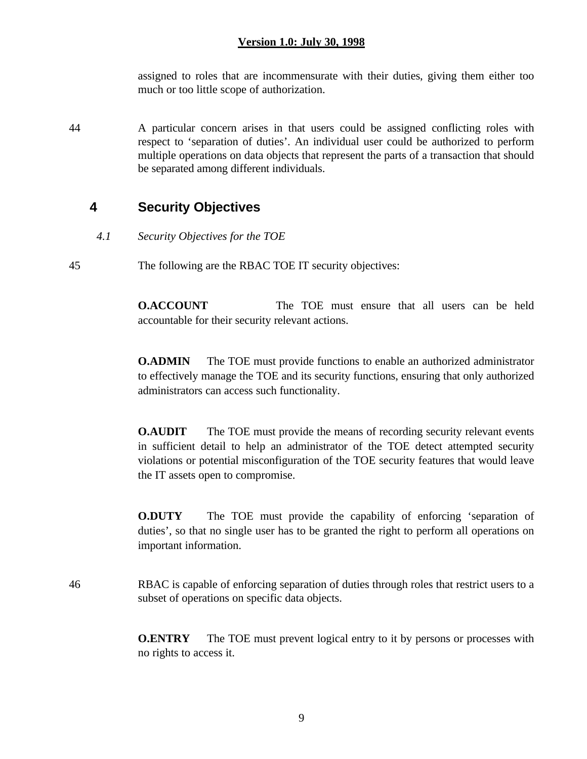assigned to roles that are incommensurate with their duties, giving them either too much or too little scope of authorization.

44 A particular concern arises in that users could be assigned conflicting roles with respect to 'separation of duties'. An individual user could be authorized to perform multiple operations on data objects that represent the parts of a transaction that should be separated among different individuals.

## **4 Security Objectives**

*4.1 Security Objectives for the TOE*

45 The following are the RBAC TOE IT security objectives:

**O.ACCOUNT** The TOE must ensure that all users can be held accountable for their security relevant actions.

**O.ADMIN** The TOE must provide functions to enable an authorized administrator to effectively manage the TOE and its security functions, ensuring that only authorized administrators can access such functionality.

**O.AUDIT** The TOE must provide the means of recording security relevant events in sufficient detail to help an administrator of the TOE detect attempted security violations or potential misconfiguration of the TOE security features that would leave the IT assets open to compromise.

**O.DUTY** The TOE must provide the capability of enforcing 'separation of duties', so that no single user has to be granted the right to perform all operations on important information.

46 RBAC is capable of enforcing separation of duties through roles that restrict users to a subset of operations on specific data objects.

> **O.ENTRY** The TOE must prevent logical entry to it by persons or processes with no rights to access it.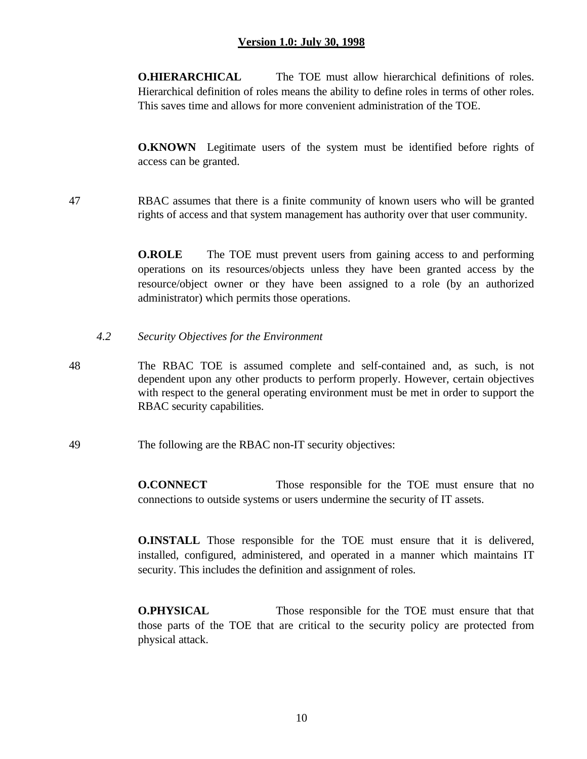**O.HIERARCHICAL** The TOE must allow hierarchical definitions of roles. Hierarchical definition of roles means the ability to define roles in terms of other roles. This saves time and allows for more convenient administration of the TOE.

**O.KNOWN** Legitimate users of the system must be identified before rights of access can be granted.

47 RBAC assumes that there is a finite community of known users who will be granted rights of access and that system management has authority over that user community.

> **O.ROLE** The TOE must prevent users from gaining access to and performing operations on its resources/objects unless they have been granted access by the resource/object owner or they have been assigned to a role (by an authorized administrator) which permits those operations.

- *4.2 Security Objectives for the Environment*
- 48 The RBAC TOE is assumed complete and self-contained and, as such, is not dependent upon any other products to perform properly. However, certain objectives with respect to the general operating environment must be met in order to support the RBAC security capabilities.
- 49 The following are the RBAC non-IT security objectives:

**O.CONNECT** Those responsible for the TOE must ensure that no connections to outside systems or users undermine the security of IT assets.

**O.INSTALL** Those responsible for the TOE must ensure that it is delivered, installed, configured, administered, and operated in a manner which maintains IT security. This includes the definition and assignment of roles.

**O.PHYSICAL** Those responsible for the TOE must ensure that that those parts of the TOE that are critical to the security policy are protected from physical attack.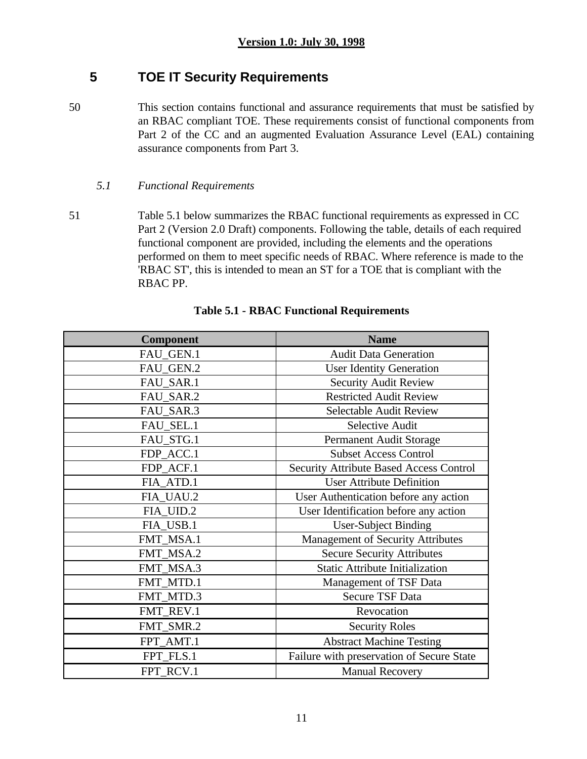# **5 TOE IT Security Requirements**

50 This section contains functional and assurance requirements that must be satisfied by an RBAC compliant TOE. These requirements consist of functional components from Part 2 of the CC and an augmented Evaluation Assurance Level (EAL) containing assurance components from Part 3.

### *5.1 Functional Requirements*

51 Table 5.1 below summarizes the RBAC functional requirements as expressed in CC Part 2 (Version 2.0 Draft) components. Following the table, details of each required functional component are provided, including the elements and the operations performed on them to meet specific needs of RBAC. Where reference is made to the 'RBAC ST', this is intended to mean an ST for a TOE that is compliant with the RBAC PP.

| <b>Component</b> | <b>Name</b>                                    |
|------------------|------------------------------------------------|
| FAU_GEN.1        | <b>Audit Data Generation</b>                   |
| FAU_GEN.2        | <b>User Identity Generation</b>                |
| FAU_SAR.1        | <b>Security Audit Review</b>                   |
| FAU_SAR.2        | <b>Restricted Audit Review</b>                 |
| FAU_SAR.3        | <b>Selectable Audit Review</b>                 |
| FAU_SEL.1        | <b>Selective Audit</b>                         |
| FAU_STG.1        | Permanent Audit Storage                        |
| FDP_ACC.1        | <b>Subset Access Control</b>                   |
| FDP_ACF.1        | <b>Security Attribute Based Access Control</b> |
| FIA_ATD.1        | <b>User Attribute Definition</b>               |
| FIA UAU.2        | User Authentication before any action          |
| FIA_UID.2        | User Identification before any action          |
| FIA_USB.1        | <b>User-Subject Binding</b>                    |
| FMT_MSA.1        | <b>Management of Security Attributes</b>       |
| FMT_MSA.2        | <b>Secure Security Attributes</b>              |
| FMT_MSA.3        | <b>Static Attribute Initialization</b>         |
| FMT_MTD.1        | Management of TSF Data                         |
| FMT_MTD.3        | <b>Secure TSF Data</b>                         |
| FMT_REV.1        | Revocation                                     |
| FMT_SMR.2        | <b>Security Roles</b>                          |
| FPT_AMT.1        | <b>Abstract Machine Testing</b>                |
| FPT_FLS.1        | Failure with preservation of Secure State      |
| FPT_RCV.1        | <b>Manual Recovery</b>                         |

### **Table 5.1 - RBAC Functional Requirements**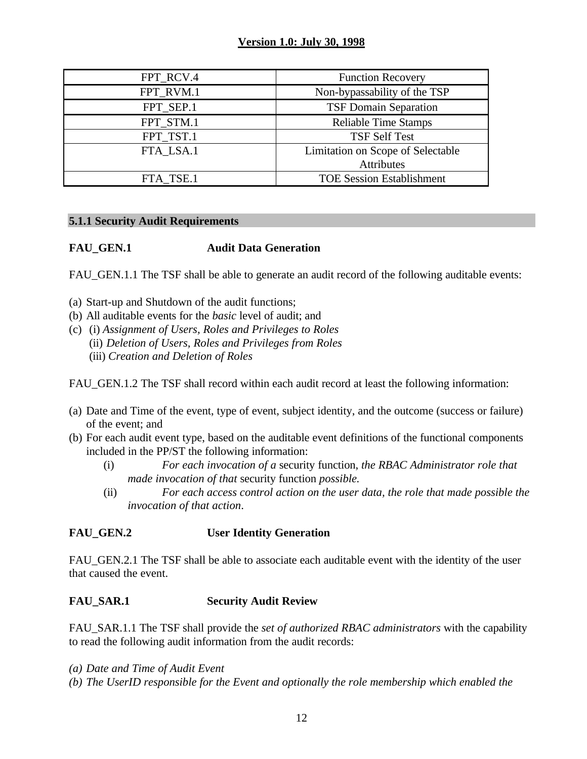| FPT_RCV.4 | <b>Function Recovery</b>          |
|-----------|-----------------------------------|
| FPT RVM.1 | Non-bypassability of the TSP      |
| FPT SEP.1 | <b>TSF Domain Separation</b>      |
| FPT_STM.1 | <b>Reliable Time Stamps</b>       |
| FPT_TST.1 | <b>TSF Self Test</b>              |
| FTA LSA.1 | Limitation on Scope of Selectable |
|           | Attributes                        |
| FTA TSE.1 | <b>TOE Session Establishment</b>  |

#### **5.1.1 Security Audit Requirements**

### **FAU\_GEN.1 Audit Data Generation**

FAU GEN.1.1 The TSF shall be able to generate an audit record of the following auditable events:

- (a) Start-up and Shutdown of the audit functions;
- (b) All auditable events for the *basic* level of audit; and
- (c) (i) *Assignment of Users, Roles and Privileges to Roles* (ii) *Deletion of Users, Roles and Privileges from Roles* (iii) *Creation and Deletion of Roles*

FAU\_GEN.1.2 The TSF shall record within each audit record at least the following information:

- (a) Date and Time of the event, type of event, subject identity, and the outcome (success or failure) of the event; and
- (b) For each audit event type, based on the auditable event definitions of the functional components included in the PP/ST the following information:
	- (i) *For each invocation of a* security function, *the RBAC Administrator role that made invocation of that* security function *possible.*
	- (ii) *For each access control action on the user data, the role that made possible the invocation of that action*.

### **FAU\_GEN.2 User Identity Generation**

FAU GEN.2.1 The TSF shall be able to associate each auditable event with the identity of the user that caused the event.

### **FAU\_SAR.1 Security Audit Review**

FAU\_SAR.1.1 The TSF shall provide the *set of authorized RBAC administrators* with the capability to read the following audit information from the audit records:

- *(a) Date and Time of Audit Event*
- *(b) The UserID responsible for the Event and optionally the role membership which enabled the*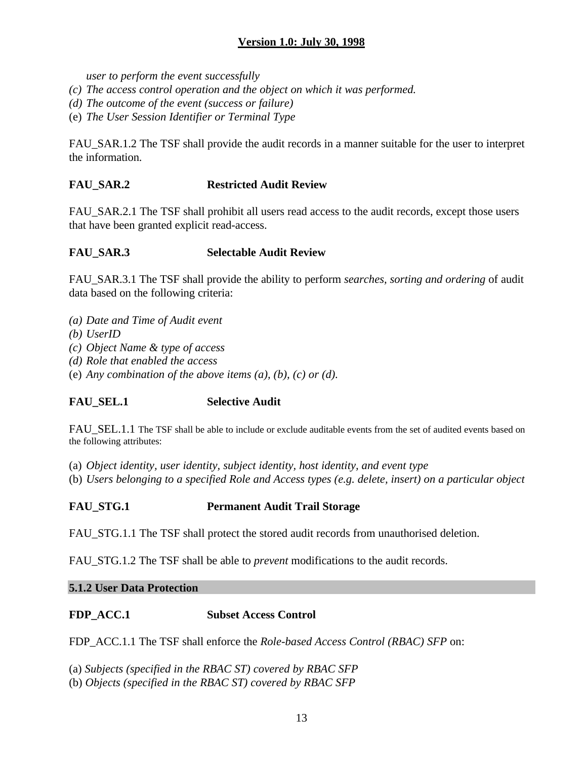*user to perform the event successfully*

- *(c) The access control operation and the object on which it was performed.*
- *(d) The outcome of the event (success or failure)*
- (e) *The User Session Identifier or Terminal Type*

FAU SAR.1.2 The TSF shall provide the audit records in a manner suitable for the user to interpret the information.

### **FAU\_SAR.2 Restricted Audit Review**

FAU SAR.2.1 The TSF shall prohibit all users read access to the audit records, except those users that have been granted explicit read-access.

#### **FAU\_SAR.3 Selectable Audit Review**

FAU\_SAR.3.1 The TSF shall provide the ability to perform *searches, sorting and ordering* of audit data based on the following criteria:

- *(a) Date and Time of Audit event*
- *(b) UserID*
- *(c) Object Name & type of access*
- *(d) Role that enabled the access*
- (e) *Any combination of the above items (a), (b), (c) or (d).*

### **FAU\_SEL.1 Selective Audit**

FAU SEL.1.1 The TSF shall be able to include or exclude auditable events from the set of audited events based on the following attributes:

- (a) *Object identity, user identity, subject identity, host identity, and event type*
- (b) *Users belonging to a specified Role and Access types (e.g. delete, insert) on a particular object*

#### **FAU\_STG.1 Permanent Audit Trail Storage**

FAU STG.1.1 The TSF shall protect the stored audit records from unauthorised deletion.

FAU\_STG.1.2 The TSF shall be able to *prevent* modifications to the audit records.

#### **5.1.2 User Data Protection**

#### **FDP\_ACC.1 Subset Access Control**

FDP\_ACC.1.1 The TSF shall enforce the *Role-based Access Control (RBAC) SFP* on:

(a) *Subjects (specified in the RBAC ST) covered by RBAC SFP*

(b) *Objects (specified in the RBAC ST) covered by RBAC SFP*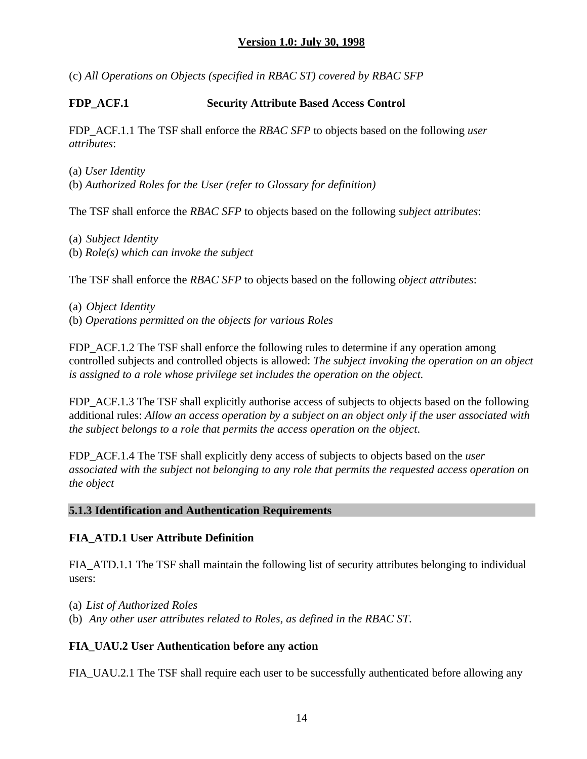(c) *All Operations on Objects (specified in RBAC ST) covered by RBAC SFP*

### **FDP\_ACF.1 Security Attribute Based Access Control**

FDP\_ACF.1.1 The TSF shall enforce the *RBAC SFP* to objects based on the following *user attributes*:

- (a) *User Identity*
- (b) *Authorized Roles for the User (refer to Glossary for definition)*

The TSF shall enforce the *RBAC SFP* to objects based on the following *subject attributes*:

- (a) *Subject Identity*
- (b) *Role(s) which can invoke the subject*

The TSF shall enforce the *RBAC SFP* to objects based on the following *object attributes*:

(a) *Object Identity* (b) *Operations permitted on the objects for various Roles*

FDP\_ACF.1.2 The TSF shall enforce the following rules to determine if any operation among controlled subjects and controlled objects is allowed: *The subject invoking the operation on an object is assigned to a role whose privilege set includes the operation on the object.*

FDP ACF.1.3 The TSF shall explicitly authorise access of subjects to objects based on the following additional rules: *Allow an access operation by a subject on an object only if the user associated with the subject belongs to a role that permits the access operation on the object*.

FDP\_ACF.1.4 The TSF shall explicitly deny access of subjects to objects based on the *user associated with the subject not belonging to any role that permits the requested access operation on the object*

#### **5.1.3 Identification and Authentication Requirements**

### **FIA\_ATD.1 User Attribute Definition**

FIA\_ATD.1.1 The TSF shall maintain the following list of security attributes belonging to individual users:

(a) *List of Authorized Roles* (b) *Any other user attributes related to Roles, as defined in the RBAC ST*.

### **FIA\_UAU.2 User Authentication before any action**

FIA\_UAU.2.1 The TSF shall require each user to be successfully authenticated before allowing any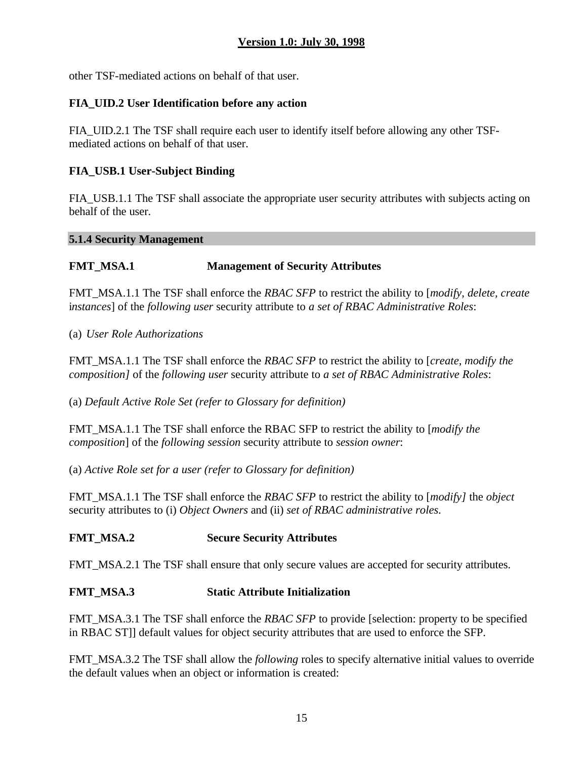other TSF-mediated actions on behalf of that user.

### **FIA\_UID.2 User Identification before any action**

FIA\_UID.2.1 The TSF shall require each user to identify itself before allowing any other TSFmediated actions on behalf of that user.

#### **FIA\_USB.1 User-Subject Binding**

FIA\_USB.1.1 The TSF shall associate the appropriate user security attributes with subjects acting on behalf of the user.

#### **5.1.4 Security Management**

#### **FMT\_MSA.1 Management of Security Attributes**

FMT\_MSA.1.1 The TSF shall enforce the *RBAC SFP* to restrict the ability to [*modify, delete, create* i*nstances*] of the *following user* security attribute to *a set of RBAC Administrative Roles*:

(a) *User Role Authorizations*

FMT\_MSA.1.1 The TSF shall enforce the *RBAC SFP* to restrict the ability to [*create, modify the composition]* of the *following user* security attribute to *a set of RBAC Administrative Roles*:

(a) *Default Active Role Set (refer to Glossary for definition)*

FMT\_MSA.1.1 The TSF shall enforce the RBAC SFP to restrict the ability to [*modify the composition*] of the *following session* security attribute to *session owner*:

(a) *Active Role set for a user (refer to Glossary for definition)*

FMT\_MSA.1.1 The TSF shall enforce the *RBAC SFP* to restrict the ability to [*modify]* the *object* security attributes to (i) *Object Owners* and (ii) *set of RBAC administrative roles.*

### **FMT\_MSA.2 Secure Security Attributes**

FMT\_MSA.2.1 The TSF shall ensure that only secure values are accepted for security attributes.

#### **FMT\_MSA.3 Static Attribute Initialization**

FMT\_MSA.3.1 The TSF shall enforce the *RBAC SFP* to provide [selection: property to be specified in RBAC ST]] default values for object security attributes that are used to enforce the SFP.

FMT\_MSA.3.2 The TSF shall allow the *following* roles to specify alternative initial values to override the default values when an object or information is created: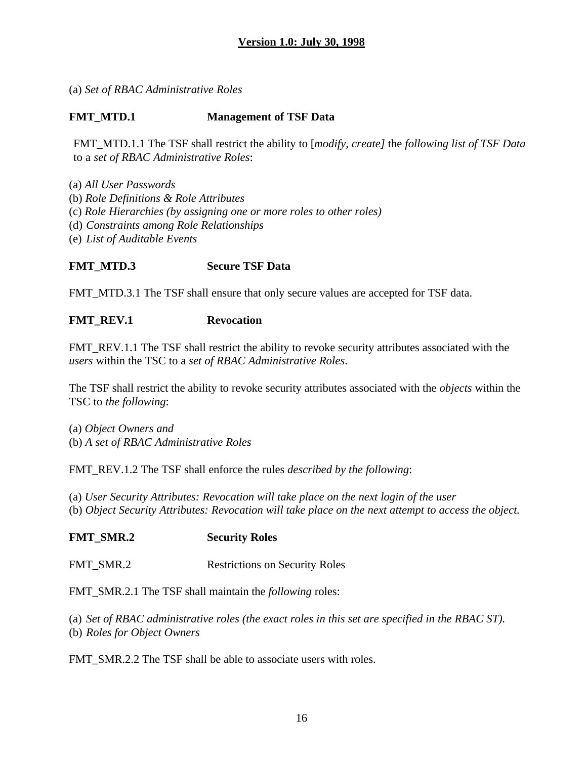(a) *Set of RBAC Administrative Roles*

### **FMT\_MTD.1 Management of TSF Data**

FMT\_MTD.1.1 The TSF shall restrict the ability to [*modify, create]* the *following list of TSF Data* to a *set of RBAC Administrative Roles*:

- (a) *All User Passwords*
- (b) *Role Definitions & Role Attributes*
- (c) *Role Hierarchies (by assigning one or more roles to other roles)*
- (d) *Constraints among Role Relationships*
- (e) *List of Auditable Events*

### **FMT\_MTD.3 Secure TSF Data**

FMT\_MTD.3.1 The TSF shall ensure that only secure values are accepted for TSF data.

### FMT\_REV.1 Revocation

FMT\_REV.1.1 The TSF shall restrict the ability to revoke security attributes associated with the *users* within the TSC to a *set of RBAC Administrative Roles*.

The TSF shall restrict the ability to revoke security attributes associated with the *objects* within the TSC to *the following*:

(a) *Object Owners and* (b) *A set of RBAC Administrative Roles*

FMT\_REV.1.2 The TSF shall enforce the rules *described by the following*:

(a) *User Security Attributes: Revocation will take place on the next login of the user* (b) *Object Security Attributes: Revocation will take place on the next attempt to access the object.*

### **FMT\_SMR.2 Security Roles**

FMT\_SMR.2 Restrictions on Security Roles

FMT\_SMR.2.1 The TSF shall maintain the *following* roles:

(a) *Set of RBAC administrative roles (the exact roles in this set are specified in the RBAC ST).* (b) *Roles for Object Owners*

FMT\_SMR.2.2 The TSF shall be able to associate users with roles.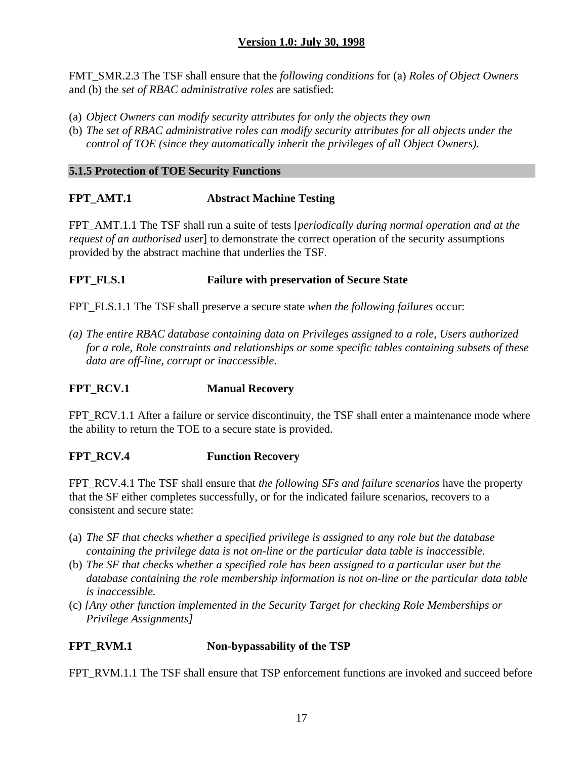FMT\_SMR.2.3 The TSF shall ensure that the *following conditions* for (a) *Roles of Object Owners* and (b) the *set of RBAC administrative roles* are satisfied:

- (a) *Object Owners can modify security attributes for only the objects they own*
- (b) *The set of RBAC administrative roles can modify security attributes for all objects under the control of TOE (since they automatically inherit the privileges of all Object Owners).*

### **5.1.5 Protection of TOE Security Functions**

## **FPT\_AMT.1 Abstract Machine Testing**

FPT\_AMT.1.1 The TSF shall run a suite of tests [*periodically during normal operation and at the request of an authorised use*r] to demonstrate the correct operation of the security assumptions provided by the abstract machine that underlies the TSF.

### **FPT\_FLS.1 Failure with preservation of Secure State**

FPT\_FLS.1.1 The TSF shall preserve a secure state *when the following failures* occur:

*(a) The entire RBAC database containing data on Privileges assigned to a role, Users authorized for a role, Role constraints and relationships or some specific tables containing subsets of these data are off-line, corrupt or inaccessible*.

## **FPT\_RCV.1 Manual Recovery**

FPT\_RCV.1.1 After a failure or service discontinuity, the TSF shall enter a maintenance mode where the ability to return the TOE to a secure state is provided.

## **FPT\_RCV.4 Function Recovery**

FPT\_RCV.4.1 The TSF shall ensure that *the following SFs and failure scenarios* have the property that the SF either completes successfully, or for the indicated failure scenarios, recovers to a consistent and secure state:

- (a) *The SF that checks whether a specified privilege is assigned to any role but the database containing the privilege data is not on-line or the particular data table is inaccessible.*
- (b) *The SF that checks whether a specified role has been assigned to a particular user but the database containing the role membership information is not on-line or the particular data table is inaccessible.*
- (c) *[Any other function implemented in the Security Target for checking Role Memberships or Privilege Assignments]*

## **FPT\_RVM.1 Non-bypassability of the TSP**

FPT\_RVM.1.1 The TSF shall ensure that TSP enforcement functions are invoked and succeed before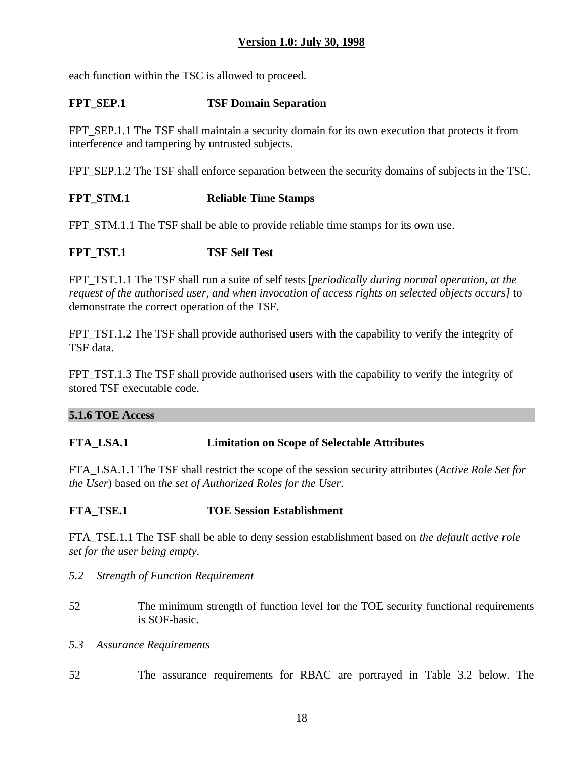each function within the TSC is allowed to proceed.

## **FPT** SEP.1 **TSF Domain Separation**

FPT\_SEP.1.1 The TSF shall maintain a security domain for its own execution that protects it from interference and tampering by untrusted subjects.

FPT SEP.1.2 The TSF shall enforce separation between the security domains of subjects in the TSC.

## **FPT\_STM.1 Reliable Time Stamps**

FPT\_STM.1.1 The TSF shall be able to provide reliable time stamps for its own use.

# **FPT\_TST.1 TSF Self Test**

FPT\_TST.1.1 The TSF shall run a suite of self tests [*periodically during normal operation, at the request of the authorised user, and when invocation of access rights on selected objects occurs]* to demonstrate the correct operation of the TSF.

FPT TST.1.2 The TSF shall provide authorised users with the capability to verify the integrity of TSF data.

FPT\_TST.1.3 The TSF shall provide authorised users with the capability to verify the integrity of stored TSF executable code.

#### **5.1.6 TOE Access**

### **FTA\_LSA.1 Limitation on Scope of Selectable Attributes**

FTA\_LSA.1.1 The TSF shall restrict the scope of the session security attributes (*Active Role Set for the User*) based on *the set of Authorized Roles for the User*.

### **FTA\_TSE.1 TOE Session Establishment**

FTA\_TSE.1.1 The TSF shall be able to deny session establishment based on *the default active role set for the user being empty*.

- *5.2 Strength of Function Requirement*
- 52 The minimum strength of function level for the TOE security functional requirements is SOF-basic.
- *5.3 Assurance Requirements*
- 52 The assurance requirements for RBAC are portrayed in Table 3.2 below. The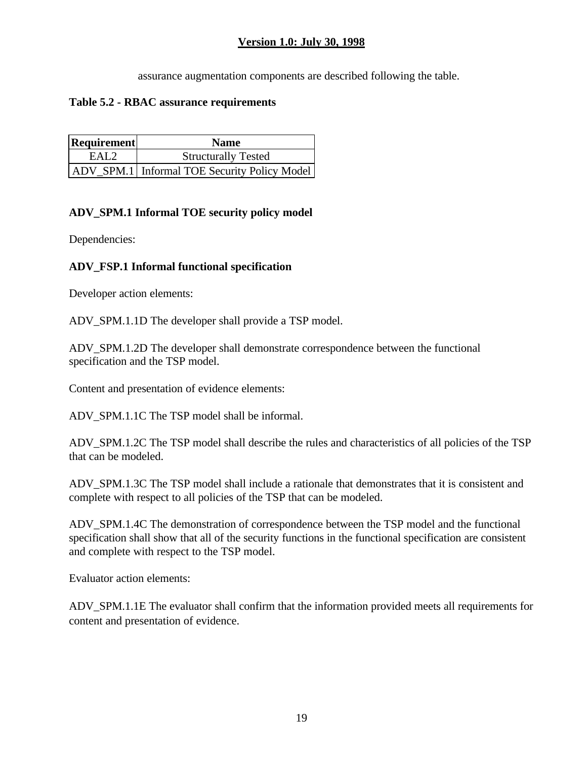assurance augmentation components are described following the table.

#### **Table 5.2 - RBAC assurance requirements**

| Requirement      | <b>Name</b>                                    |
|------------------|------------------------------------------------|
| EAL <sub>2</sub> | <b>Structurally Tested</b>                     |
|                  | ADV SPM.1   Informal TOE Security Policy Model |

### **ADV\_SPM.1 Informal TOE security policy model**

Dependencies:

### **ADV\_FSP.1 Informal functional specification**

Developer action elements:

ADV\_SPM.1.1D The developer shall provide a TSP model.

ADV\_SPM.1.2D The developer shall demonstrate correspondence between the functional specification and the TSP model.

Content and presentation of evidence elements:

ADV\_SPM.1.1C The TSP model shall be informal.

ADV\_SPM.1.2C The TSP model shall describe the rules and characteristics of all policies of the TSP that can be modeled.

ADV\_SPM.1.3C The TSP model shall include a rationale that demonstrates that it is consistent and complete with respect to all policies of the TSP that can be modeled.

ADV\_SPM.1.4C The demonstration of correspondence between the TSP model and the functional specification shall show that all of the security functions in the functional specification are consistent and complete with respect to the TSP model.

Evaluator action elements:

ADV SPM.1.1E The evaluator shall confirm that the information provided meets all requirements for content and presentation of evidence.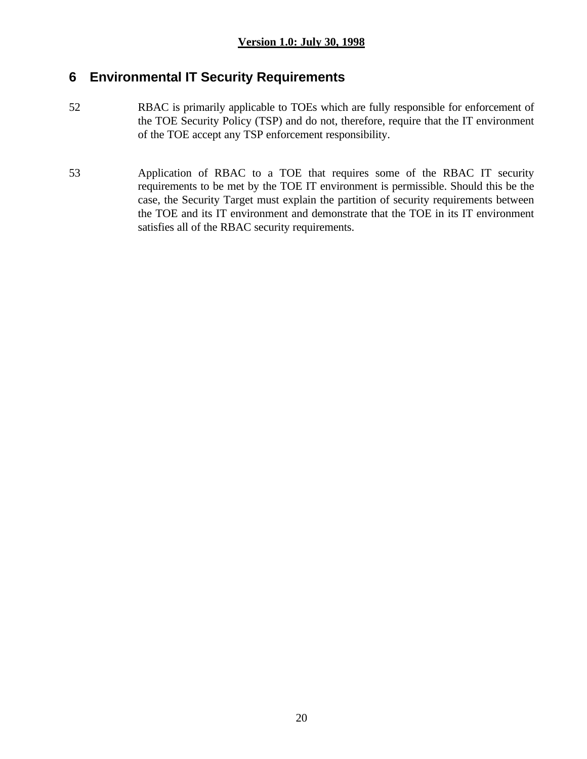# **6 Environmental IT Security Requirements**

- 52 RBAC is primarily applicable to TOEs which are fully responsible for enforcement of the TOE Security Policy (TSP) and do not, therefore, require that the IT environment of the TOE accept any TSP enforcement responsibility.
- 53 Application of RBAC to a TOE that requires some of the RBAC IT security requirements to be met by the TOE IT environment is permissible. Should this be the case, the Security Target must explain the partition of security requirements between the TOE and its IT environment and demonstrate that the TOE in its IT environment satisfies all of the RBAC security requirements.